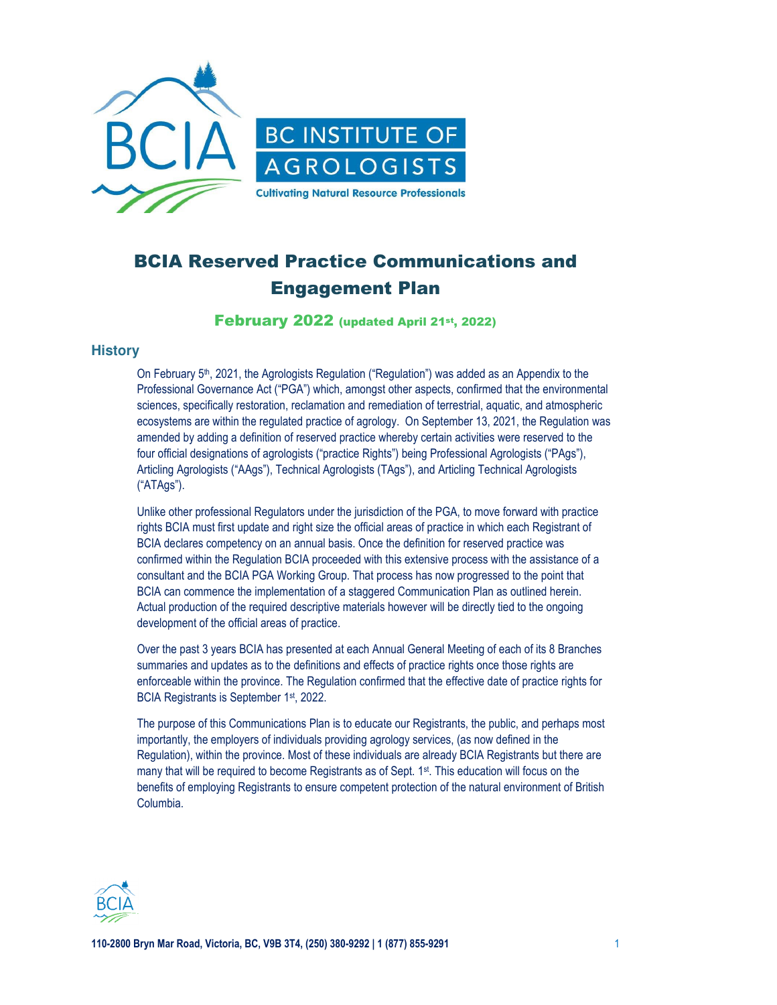

February 2022 (updated April 21st, 2022)

#### **History**

On February  $5<sup>th</sup>$ , 2021, the Agrologists Regulation ("Regulation") was added as an Appendix to the Professional Governance Act ("PGA") which, amongst other aspects, confirmed that the environmental sciences, specifically restoration, reclamation and remediation of terrestrial, aquatic, and atmospheric ecosystems are within the regulated practice of agrology. On September 13, 2021, the Regulation was amended by adding a definition of reserved practice whereby certain activities were reserved to the four official designations of agrologists ("practice Rights") being Professional Agrologists ("PAgs"), Articling Agrologists ("AAgs"), Technical Agrologists (TAgs"), and Articling Technical Agrologists ("ATAgs").

Unlike other professional Regulators under the jurisdiction of the PGA, to move forward with practice rights BCIA must first update and right size the official areas of practice in which each Registrant of BCIA declares competency on an annual basis. Once the definition for reserved practice was confirmed within the Regulation BCIA proceeded with this extensive process with the assistance of a consultant and the BCIA PGA Working Group. That process has now progressed to the point that BCIA can commence the implementation of a staggered Communication Plan as outlined herein. Actual production of the required descriptive materials however will be directly tied to the ongoing development of the official areas of practice.

Over the past 3 years BCIA has presented at each Annual General Meeting of each of its 8 Branches summaries and updates as to the definitions and effects of practice rights once those rights are enforceable within the province. The Regulation confirmed that the effective date of practice rights for BCIA Registrants is September 1<sup>st</sup>, 2022.

The purpose of this Communications Plan is to educate our Registrants, the public, and perhaps most importantly, the employers of individuals providing agrology services, (as now defined in the Regulation), within the province. Most of these individuals are already BCIA Registrants but there are many that will be required to become Registrants as of Sept. 1<sup>st</sup>. This education will focus on the benefits of employing Registrants to ensure competent protection of the natural environment of British Columbia.

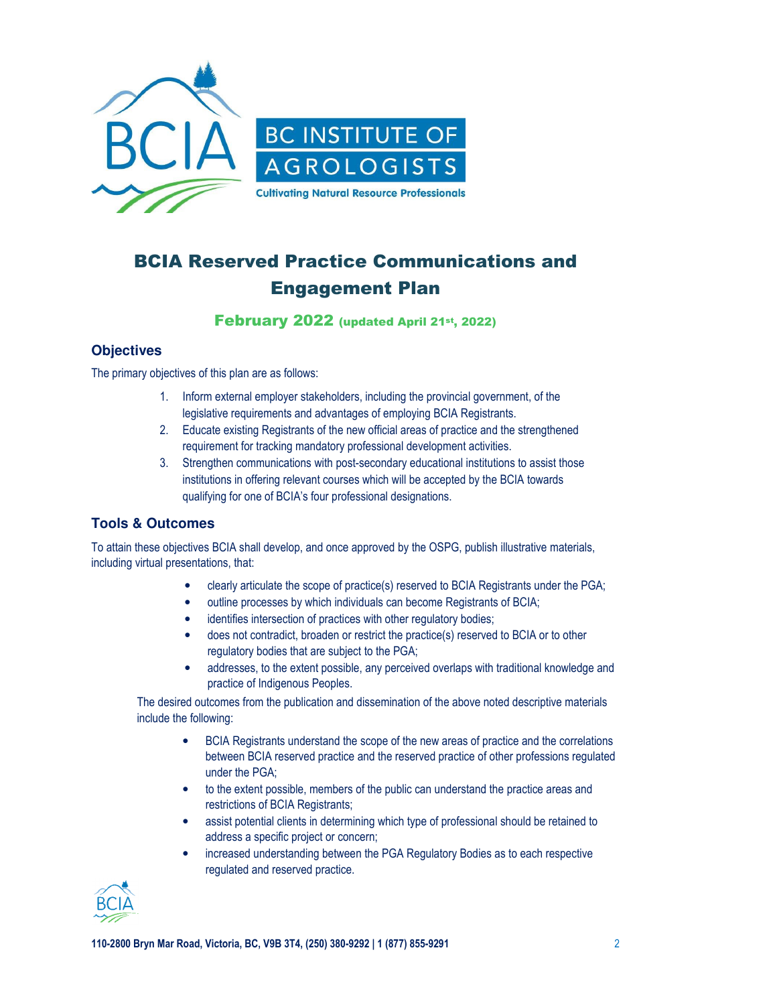

February 2022 (updated April 21st, 2022)

### **Objectives**

The primary objectives of this plan are as follows:

- 1. Inform external employer stakeholders, including the provincial government, of the legislative requirements and advantages of employing BCIA Registrants.
- 2. Educate existing Registrants of the new official areas of practice and the strengthened requirement for tracking mandatory professional development activities.
- 3. Strengthen communications with post-secondary educational institutions to assist those institutions in offering relevant courses which will be accepted by the BCIA towards qualifying for one of BCIA's four professional designations.

### **Tools & Outcomes**

To attain these objectives BCIA shall develop, and once approved by the OSPG, publish illustrative materials, including virtual presentations, that:

- clearly articulate the scope of practice(s) reserved to BCIA Registrants under the PGA;
- outline processes by which individuals can become Registrants of BCIA;
- identifies intersection of practices with other regulatory bodies;
- does not contradict, broaden or restrict the practice(s) reserved to BCIA or to other regulatory bodies that are subject to the PGA;
- addresses, to the extent possible, any perceived overlaps with traditional knowledge and practice of Indigenous Peoples.

The desired outcomes from the publication and dissemination of the above noted descriptive materials include the following:

- BCIA Registrants understand the scope of the new areas of practice and the correlations between BCIA reserved practice and the reserved practice of other professions regulated under the PGA;
- to the extent possible, members of the public can understand the practice areas and restrictions of BCIA Registrants;
- assist potential clients in determining which type of professional should be retained to address a specific project or concern;
- increased understanding between the PGA Regulatory Bodies as to each respective regulated and reserved practice.

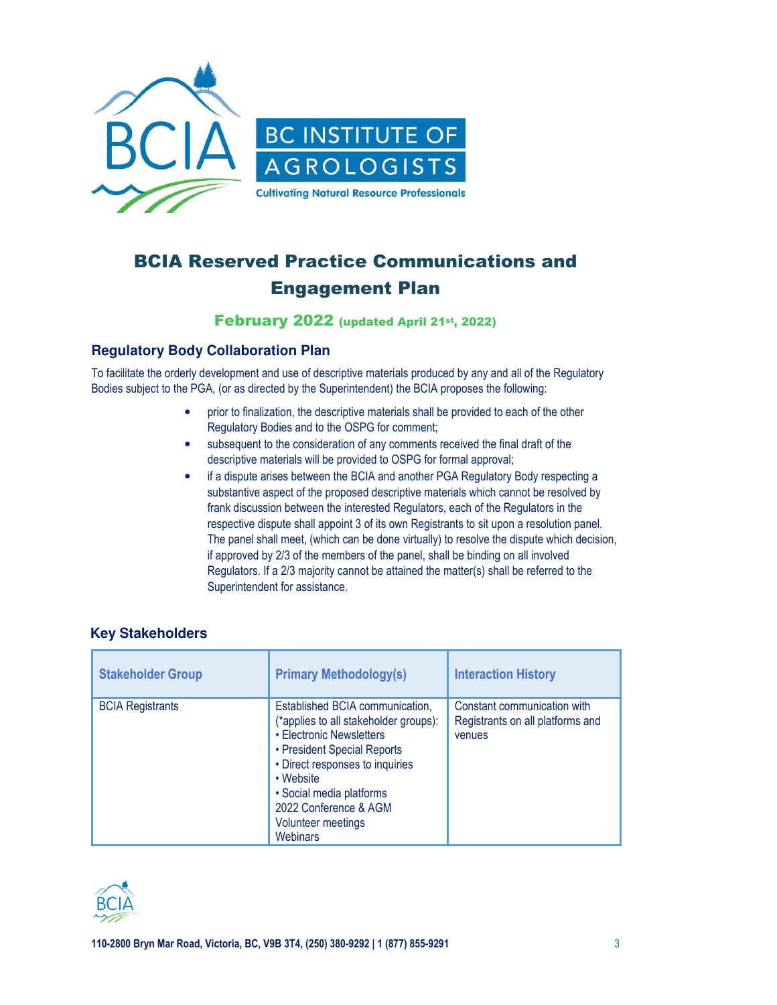

February 2022 (updated April 21st, 2022)

### **Regulatory Body Collaboration Plan**

To facilitate the orderly development and use of descriptive materials produced by any and all of the Regulatory Bodies subject to the PGA, (or as directed by the Superintendent) the BCIA proposes the following:

- prior to finalization, the descriptive materials shall be provided to each of the other Regulatory Bodies and to the OSPG for comment;
- subsequent to the consideration of any comments received the final draft of the descriptive materials will be provided to OSPG for formal approval;
- if a dispute arises between the BCIA and another PGA Regulatory Body respecting a substantive aspect of the proposed descriptive materials which cannot be resolved by frank discussion between the interested Regulators, each of the Regulators in the respective dispute shall appoint 3 of its own Registrants to sit upon a resolution panel. The panel shall meet, (which can be done virtually) to resolve the dispute which decision, if approved by 2/3 of the members of the panel, shall be binding on all involved Regulators. If a 2/3 majority cannot be attained the matter(s) shall be referred to the Superintendent for assistance.

### **Key Stakeholders**

| <b>Stakeholder Group</b> | <b>Primary Methodology(s)</b>                                                                                                                                                                                                                                                     | <b>Interaction History</b>                                                |
|--------------------------|-----------------------------------------------------------------------------------------------------------------------------------------------------------------------------------------------------------------------------------------------------------------------------------|---------------------------------------------------------------------------|
| <b>BCIA Registrants</b>  | Established BCIA communication,<br>(*applies to all stakeholder groups):<br>• Electronic Newsletters<br>• President Special Reports<br>• Direct responses to inquiries<br>• Website<br>• Social media platforms<br>2022 Conference & AGM<br>Volunteer meetings<br><b>Webinars</b> | Constant communication with<br>Registrants on all platforms and<br>venues |

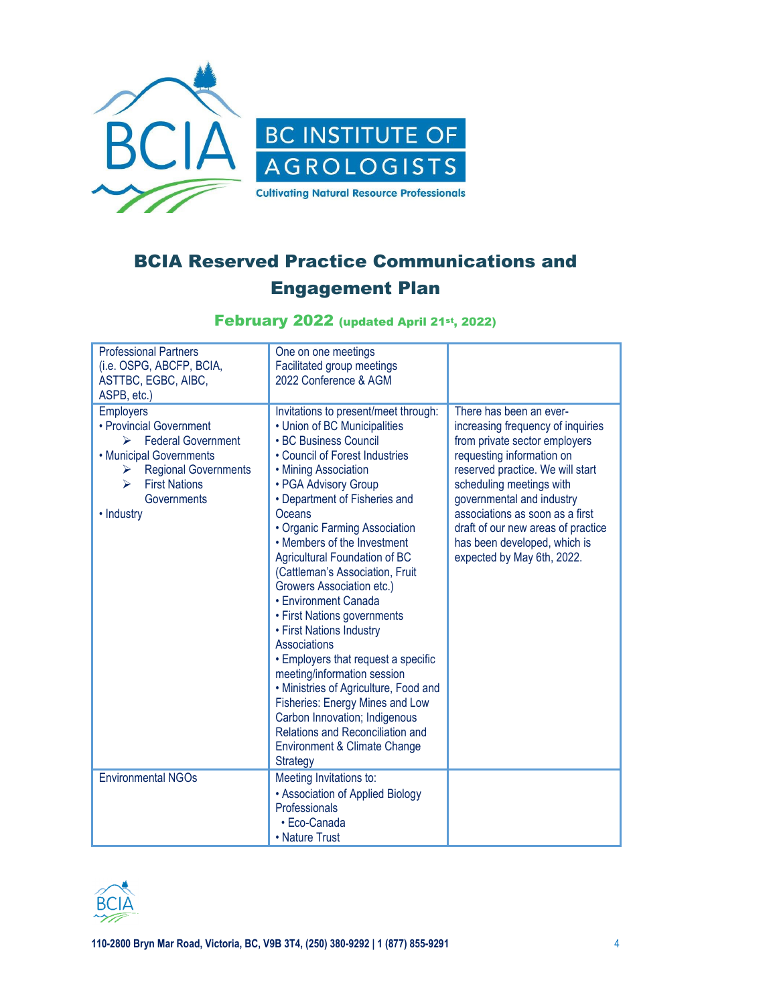

### February 2022 (updated April 21st, 2022)

| <b>Professional Partners</b><br>(i.e. OSPG, ABCFP, BCIA,<br>ASTTBC, EGBC, AIBC,<br>ASPB, etc.)                                                                                                              | One on one meetings<br>Facilitated group meetings<br>2022 Conference & AGM                                                                                                                                                                                                                                                                                                                                                                                                                                                                                                                                                                                                                                                                                               |                                                                                                                                                                                                                                                                                                                                                                |
|-------------------------------------------------------------------------------------------------------------------------------------------------------------------------------------------------------------|--------------------------------------------------------------------------------------------------------------------------------------------------------------------------------------------------------------------------------------------------------------------------------------------------------------------------------------------------------------------------------------------------------------------------------------------------------------------------------------------------------------------------------------------------------------------------------------------------------------------------------------------------------------------------------------------------------------------------------------------------------------------------|----------------------------------------------------------------------------------------------------------------------------------------------------------------------------------------------------------------------------------------------------------------------------------------------------------------------------------------------------------------|
| <b>Employers</b><br>• Provincial Government<br>$\triangleright$ Federal Government<br>• Municipal Governments<br><b>Regional Governments</b><br>➤<br><b>First Nations</b><br>⋗<br>Governments<br>• Industry | Invitations to present/meet through:<br>• Union of BC Municipalities<br>• BC Business Council<br>• Council of Forest Industries<br>• Mining Association<br>• PGA Advisory Group<br>• Department of Fisheries and<br>Oceans<br>• Organic Farming Association<br>• Members of the Investment<br>Agricultural Foundation of BC<br>(Cattleman's Association, Fruit<br>Growers Association etc.)<br>• Environment Canada<br>• First Nations governments<br>• First Nations Industry<br>Associations<br>• Employers that request a specific<br>meeting/information session<br>• Ministries of Agriculture, Food and<br>Fisheries: Energy Mines and Low<br>Carbon Innovation; Indigenous<br>Relations and Reconciliation and<br>Environment & Climate Change<br><b>Strategy</b> | There has been an ever-<br>increasing frequency of inquiries<br>from private sector employers<br>requesting information on<br>reserved practice. We will start<br>scheduling meetings with<br>governmental and industry<br>associations as soon as a first<br>draft of our new areas of practice<br>has been developed, which is<br>expected by May 6th, 2022. |
| <b>Environmental NGOs</b>                                                                                                                                                                                   | Meeting Invitations to:<br>• Association of Applied Biology<br>Professionals<br>• Eco-Canada<br>• Nature Trust                                                                                                                                                                                                                                                                                                                                                                                                                                                                                                                                                                                                                                                           |                                                                                                                                                                                                                                                                                                                                                                |
|                                                                                                                                                                                                             |                                                                                                                                                                                                                                                                                                                                                                                                                                                                                                                                                                                                                                                                                                                                                                          |                                                                                                                                                                                                                                                                                                                                                                |

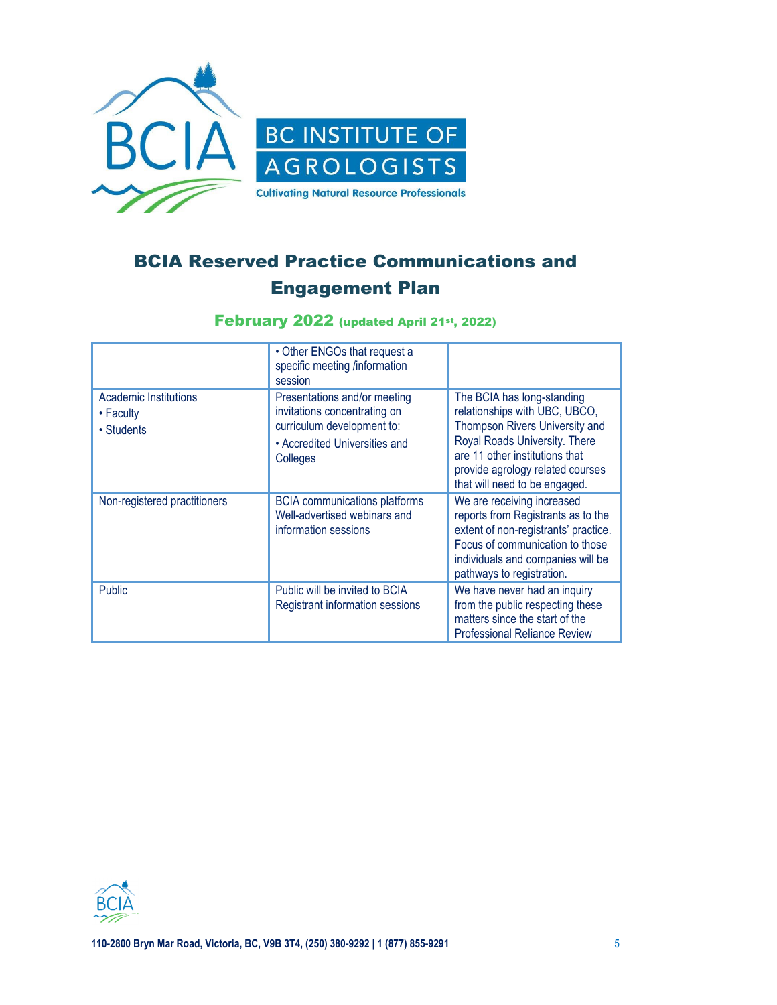

### February 2022 (updated April 21st, 2022)

|                                                  | • Other ENGOs that request a<br>specific meeting /information<br>session                                                                |                                                                                                                                                                                                                                       |
|--------------------------------------------------|-----------------------------------------------------------------------------------------------------------------------------------------|---------------------------------------------------------------------------------------------------------------------------------------------------------------------------------------------------------------------------------------|
| Academic Institutions<br>• Faculty<br>• Students | Presentations and/or meeting<br>invitations concentrating on<br>curriculum development to:<br>• Accredited Universities and<br>Colleges | The BCIA has long-standing<br>relationships with UBC, UBCO,<br>Thompson Rivers University and<br>Royal Roads University. There<br>are 11 other institutions that<br>provide agrology related courses<br>that will need to be engaged. |
| Non-registered practitioners                     | <b>BCIA</b> communications platforms<br>Well-advertised webinars and<br>information sessions                                            | We are receiving increased<br>reports from Registrants as to the<br>extent of non-registrants' practice.<br>Focus of communication to those<br>individuals and companies will be<br>pathways to registration.                         |
| Public                                           | Public will be invited to BCIA<br>Registrant information sessions                                                                       | We have never had an inquiry<br>from the public respecting these<br>matters since the start of the<br><b>Professional Reliance Review</b>                                                                                             |

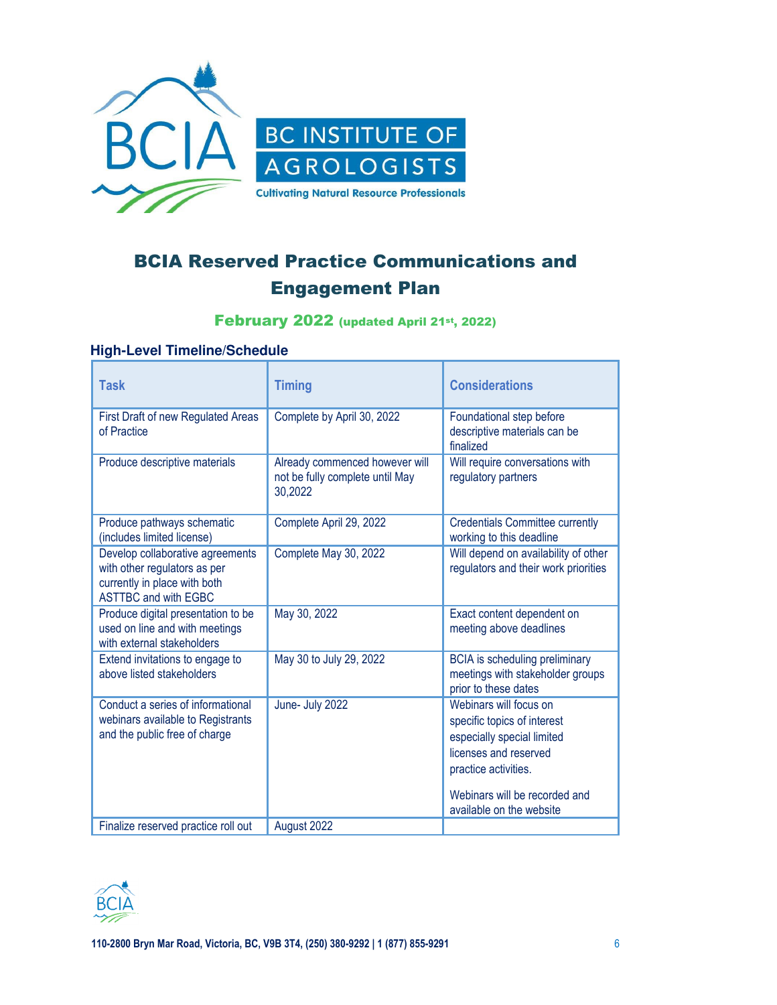

### February 2022 (updated April 21st, 2022)

### **High-Level Timeline/Schedule**

| <b>Task</b>                                                                                                                     | <b>Timing</b>                                                                | <b>Considerations</b>                                                                                                                                                                             |
|---------------------------------------------------------------------------------------------------------------------------------|------------------------------------------------------------------------------|---------------------------------------------------------------------------------------------------------------------------------------------------------------------------------------------------|
| First Draft of new Regulated Areas<br>of Practice                                                                               | Complete by April 30, 2022                                                   | Foundational step before<br>descriptive materials can be<br>finalized                                                                                                                             |
| Produce descriptive materials                                                                                                   | Already commenced however will<br>not be fully complete until May<br>30,2022 | Will require conversations with<br>regulatory partners                                                                                                                                            |
| Produce pathways schematic<br>(includes limited license)                                                                        | Complete April 29, 2022                                                      | <b>Credentials Committee currently</b><br>working to this deadline                                                                                                                                |
| Develop collaborative agreements<br>with other regulators as per<br>currently in place with both<br><b>ASTTBC and with EGBC</b> | Complete May 30, 2022                                                        | Will depend on availability of other<br>regulators and their work priorities                                                                                                                      |
| Produce digital presentation to be<br>used on line and with meetings<br>with external stakeholders                              | May 30, 2022                                                                 | Exact content dependent on<br>meeting above deadlines                                                                                                                                             |
| Extend invitations to engage to<br>above listed stakeholders                                                                    | May 30 to July 29, 2022                                                      | <b>BCIA</b> is scheduling preliminary<br>meetings with stakeholder groups<br>prior to these dates                                                                                                 |
| Conduct a series of informational<br>webinars available to Registrants<br>and the public free of charge                         | June- July 2022                                                              | Webinars will focus on<br>specific topics of interest<br>especially special limited<br>licenses and reserved<br>practice activities.<br>Webinars will be recorded and<br>available on the website |
| Finalize reserved practice roll out                                                                                             | August 2022                                                                  |                                                                                                                                                                                                   |